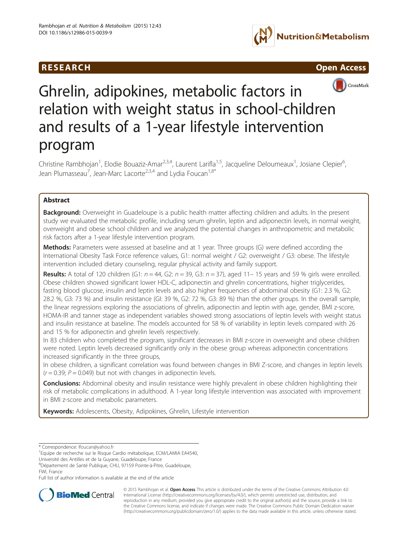





# Ghrelin, adipokines, metabolic factors in relation with weight status in school-children and results of a 1-year lifestyle intervention program

Christine Rambhojan<sup>1</sup>, Elodie Bouaziz-Amar<sup>2,3,4</sup>, Laurent Larifla<sup>1,5</sup>, Jacqueline Deloumeaux<sup>1</sup>, Josiane Clepier<sup>6</sup> , Jean Plumasseau<sup>7</sup>, Jean-Marc Lacorte<sup>2,3,4</sup> and Lydia Foucan<sup>1,8\*</sup>

# Abstract

Background: Overweight in Guadeloupe is a public health matter affecting children and adults. In the present study we evaluated the metabolic profile, including serum ghrelin, leptin and adiponectin levels, in normal weight, overweight and obese school children and we analyzed the potential changes in anthropometric and metabolic risk factors after a 1-year lifestyle intervention program.

Methods: Parameters were assessed at baseline and at 1 year. Three groups (G) were defined according the International Obesity Task Force reference values, G1: normal weight / G2: overweight / G3: obese. The lifestyle intervention included dietary counseling, regular physical activity and family support.

Results: A total of 120 children (G1:  $n = 44$ , G2:  $n = 39$ , G3:  $n = 37$ ), aged 11-15 years and 59% girls were enrolled. Obese children showed significant lower HDL-C, adiponectin and ghrelin concentrations, higher triglycerides, fasting blood glucose, insulin and leptin levels and also higher frequencies of abdominal obesity (G1: 2.3 %, G2: 28.2 %, G3: 73 %) and insulin resistance (GI: 39 %, G2: 72 %, G3: 89 %) than the other groups. In the overall sample, the linear regressions exploring the associations of ghrelin, adiponectin and leptin with age, gender, BMI z-score, HOMA-IR and tanner stage as independent variables showed strong associations of leptin levels with weight status and insulin resistance at baseline. The models accounted for 58 % of variability in leptin levels compared with 26 and 15 % for adiponectin and ghrelin levels respectively.

In 83 children who completed the program, significant decreases in BMI z-score in overweight and obese children were noted. Leptin levels decreased significantly only in the obese group whereas adiponectin concentrations increased significantly in the three groups,

In obese children, a significant correlation was found between changes in BMI Z-score, and changes in leptin levels  $(r = 0.39; P = 0.049)$  but not with changes in adiponectin levels.

Conclusions: Abdominal obesity and insulin resistance were highly prevalent in obese children highlighting their risk of metabolic complications in adulthood. A 1-year long lifestyle intervention was associated with improvement in BMI z-score and metabolic parameters.

Keywords: Adolescents, Obesity, Adipokines, Ghrelin, Lifestyle intervention

Université des Antilles et de la Guyane, Guadeloupe, France

8 Département de Santé Publique, CHU, 97159 Pointe-à-Pitre, Guadeloupe, FWI, France

Full list of author information is available at the end of the article



© 2015 Rambhojan et al. Open Access This article is distributed under the terms of the Creative Commons Attribution 4.0 International License [\(http://creativecommons.org/licenses/by/4.0/](http://creativecommons.org/licenses/by/4.0/)), which permits unrestricted use, distribution, and reproduction in any medium, provided you give appropriate credit to the original author(s) and the source, provide a link to the Creative Commons license, and indicate if changes were made. The Creative Commons Public Domain Dedication waiver [\(http://creativecommons.org/publicdomain/zero/1.0/](http://creativecommons.org/publicdomain/zero/1.0/)) applies to the data made available in this article, unless otherwise stated.

<sup>\*</sup> Correspondence: [lfoucan@yahoo.fr](mailto:lfoucan@yahoo.fr) <sup>1</sup>

<sup>&</sup>lt;sup>1</sup>Equipe de recherche sur le Risque Cardio métabolique, ECM/LAMIA EA4540,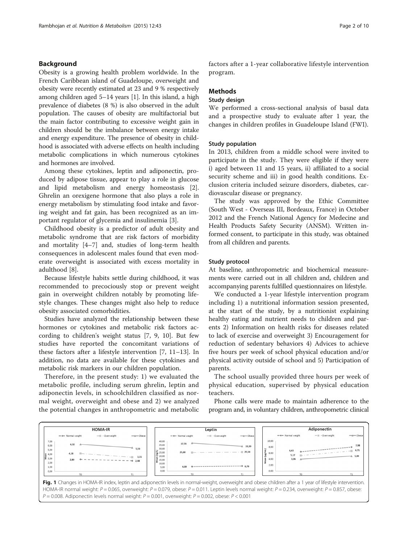### <span id="page-1-0"></span>Background

Obesity is a growing health problem worldwide. In the French Caribbean island of Guadeloupe, overweight and obesity were recently estimated at 23 and 9 % respectively among children aged 5–14 years [[1](#page-8-0)]. In this island, a high prevalence of diabetes (8 %) is also observed in the adult population. The causes of obesity are multifactorial but the main factor contributing to excessive weight gain in children should be the imbalance between energy intake and energy expenditure. The presence of obesity in childhood is associated with adverse effects on health including metabolic complications in which numerous cytokines and hormones are involved.

Among these cytokines, leptin and adiponectin, produced by adipose tissue, appear to play a role in glucose and lipid metabolism and energy homeostasis [\[2](#page-8-0)]. Ghrelin an orexigene hormone that also plays a role in energy metabolism by stimulating food intake and favoring weight and fat gain, has been recognized as an important regulator of glycemia and insulinemia [\[3](#page-8-0)].

Childhood obesity is a predictor of adult obesity and metabolic syndrome that are risk factors of morbidity and mortality [[4](#page-8-0)–[7](#page-8-0)] and, studies of long-term health consequences in adolescent males found that even moderate overweight is associated with excess mortality in adulthood [\[8](#page-8-0)].

Because lifestyle habits settle during childhood, it was recommended to precociously stop or prevent weight gain in overweight children notably by promoting lifestyle changes. These changes might also help to reduce obesity associated comorbidities.

Studies have analyzed the relationship between these hormones or cytokines and metabolic risk factors according to children's weight status [\[7](#page-8-0), [9](#page-8-0), [10](#page-8-0)]. But few studies have reported the concomitant variations of these factors after a lifestyle intervention [[7, 11](#page-8-0)–[13\]](#page-8-0). In addition, no data are available for these cytokines and metabolic risk markers in our children population.

Therefore, in the present study: 1) we evaluated the metabolic profile, including serum ghrelin, leptin and adiponectin levels, in schoolchildren classified as normal weight, overweight and obese and 2) we analyzed the potential changes in anthropometric and metabolic factors after a 1-year collaborative lifestyle intervention program.

# Methods

# Study design

We performed a cross-sectional analysis of basal data and a prospective study to evaluate after 1 year, the changes in children profiles in Guadeloupe Island (FWI).

### Study population

In 2013, children from a middle school were invited to participate in the study. They were eligible if they were i) aged between 11 and 15 years, ii) affiliated to a social security scheme and iii) in good health conditions. Exclusion criteria included seizure disorders, diabetes, cardiovascular disease or pregnancy.

The study was approved by the Ethic Committee (South West - Overseas III, Bordeaux, France) in October 2012 and the French National Agency for Medecine and Health Products Safety Security (ANSM). Written informed consent, to participate in this study, was obtained from all children and parents.

# Study protocol

At baseline, anthropometric and biochemical measurements were carried out in all children and, children and accompanying parents fulfilled questionnaires on lifestyle.

We conducted a 1-year lifestyle intervention program including 1) a nutritional information session presented, at the start of the study, by a nutritionist explaining healthy eating and nutrient needs to children and parents 2) Information on health risks for diseases related to lack of exercise and overweight 3) Encouragement for reduction of sedentary behaviors 4) Advices to achieve five hours per week of school physical education and/or physical activity outside of school and 5) Participation of parents.

The school usually provided three hours per week of physical education, supervised by physical education teachers.

Phone calls were made to maintain adherence to the program and, in voluntary children, anthropometric clinical

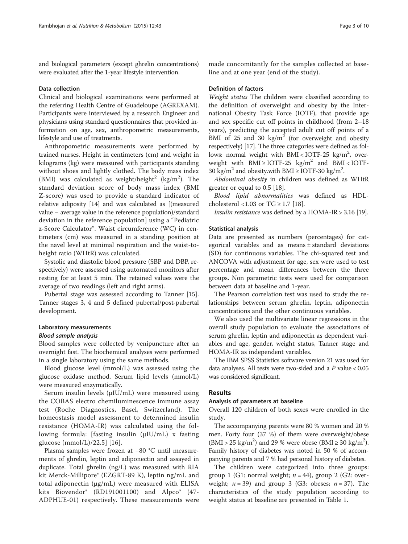and biological parameters (except ghrelin concentrations) were evaluated after the 1-year lifestyle intervention.

#### Data collection

Clinical and biological examinations were performed at the referring Health Centre of Guadeloupe (AGREXAM). Participants were interviewed by a research Engineer and physicians using standard questionnaires that provided information on age, sex, anthropometric measurements, lifestyle and use of treatments.

Anthropometric measurements were performed by trained nurses. Height in centimeters (cm) and weight in kilograms (kg) were measured with participants standing without shoes and lightly clothed. The body mass index (BMI) was calculated as weight/height<sup>2</sup> (kg/m<sup>2</sup>). The standard deviation score of body mass index (BMI Z-score) was used to provide a standard indicator of relative adiposity [\[14\]](#page-8-0) and was calculated as [(measured value – average value in the reference population)/standard deviation in the reference population] using a "Pediatric z-Score Calculator". Waist circumference (WC) in centimeters (cm) was measured in a standing position at the navel level at minimal respiration and the waist-toheight ratio (WHtR) was calculated.

Systolic and diastolic blood pressure (SBP and DBP, respectively) were assessed using automated monitors after resting for at least 5 min. The retained values were the average of two readings (left and right arms).

Pubertal stage was assessed according to Tanner [\[15](#page-8-0)]. Tanner stages 3, 4 and 5 defined pubertal/post-pubertal development.

#### Laboratory measurements

#### Blood sample analysis

Blood samples were collected by venipuncture after an overnight fast. The biochemical analyses were performed in a single laboratory using the same methods.

Blood glucose level (mmol/L) was assessed using the glucose oxidase method. Serum lipid levels (mmol/L) were measured enzymatically.

Serum insulin levels (μIU/mL) were measured using the COBAS electro chemiluminescence immune assay test (Roche Diagnostics, Basel, Switzerland). The homeostasis model assessment to determined insulin resistance (HOMA-IR) was calculated using the following formula: [fasting insulin (μIU/mL) x fasting glucose (mmol/L)/22.5] [[16\]](#page-8-0).

Plasma samples were frozen at −80 °C until measurements of ghrelin, leptin and adiponectin and assayed in duplicate. Total ghrelin (ng/L) was measured with RIA kit Merck-Millipore® (EZGRT-89 K), leptin ng/mL and total adiponectin (μg/mL) were measured with ELISA kits Biovendor® (RD191001100) and Alpco® (47- ADPHUE-01) respectively. These measurements were

made concomitantly for the samples collected at baseline and at one year (end of the study).

# Definition of factors

Weight status The children were classified according to the definition of overweight and obesity by the International Obesity Task Force (IOTF), that provide age and sex specific cut off points in childhood (from 2–18 years), predicting the accepted adult cut off points of a BMI of 25 and 30  $\text{kg/m}^2$  (for overweight and obesity respectively) [[17](#page-8-0)]. The three categories were defined as follows: normal weight with  $BMI < IOTF-25$  kg/m<sup>2</sup>, overweight with  $BMI \geq IOTF-25$  kg/m<sup>2</sup> and  $BMI < IOTF-$ 30 kg/m<sup>2</sup> and obesity.with BMI ≥ IOTF-30 kg/m<sup>2</sup>.

Abdominal obesity in children was defined as WHtR greater or equal to 0.5 [[18\]](#page-8-0).

Blood lipid abnormalities was defined as HDLcholesterol <1.03 or TG  $\geq$  1.7 [\[18\]](#page-8-0).

Insulin resistance was defined by a HOMA-IR > 3.16 [[19\]](#page-8-0).

#### Statistical analysis

Data are presented as numbers (percentages) for categorical variables and as means ± standard deviations (SD) for continuous variables. The chi-squared test and ANCOVA with adjustment for age, sex were used to test percentage and mean differences between the three groups. Non parametric tests were used for comparison between data at baseline and 1-year.

The Pearson correlation test was used to study the relationships between serum ghrelin, leptin, adiponectin concentrations and the other continuous variables.

We also used the multivariate linear regressions in the overall study population to evaluate the associations of serum ghrelin, leptin and adiponectin as dependent variables and age, gender, weight status, Tanner stage and HOMA-IR as independent variables.

The IBM SPSS Statistics software version 21 was used for data analyses. All tests were two-sided and a  $P$  value < 0.05 was considered significant.

# Results

#### Analysis of parameters at baseline

Overall 120 children of both sexes were enrolled in the study.

The accompanying parents were 80 % women and 20 % men. Forty four (37 %) of them were overweight/obese  $(BMI > 25 \text{ kg/m}^2)$  and 29 % were obese  $(BMI \ge 30 \text{ kg/m}^2)$ . Family history of diabetes was noted in 50 % of accompanying parents and 7 % had personal history of diabetes.

The children were categorized into three groups: group 1 (G1: normal weight;  $n = 44$ ), group 2 (G2: overweight;  $n = 39$ ) and group 3 (G3: obeses;  $n = 37$ ). The characteristics of the study population according to weight status at baseline are presented in Table [1](#page-3-0).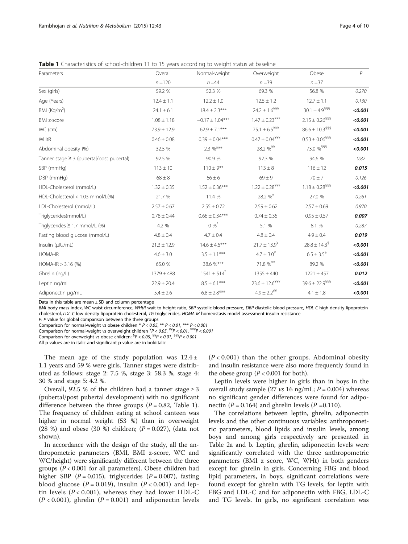<span id="page-3-0"></span>Table 1 Characteristics of school-children 11 to 15 years according to weight status at baseline

| Parameters                                     | Overall         | Normal-weight               | Overweight                     | Obese                          | P       |
|------------------------------------------------|-----------------|-----------------------------|--------------------------------|--------------------------------|---------|
|                                                | $n = 120$       | $n = 44$                    | $n = 39$                       | $n = 37$                       |         |
| Sex (girls)                                    | 59.2 %          | 52.3 %                      | 69.3 %                         | 56.8 %                         | 0.270   |
| Age (Years)                                    | $12.4 \pm 1.1$  | $12.2 \pm 1.0$              | $12.5 \pm 1.2$                 | $12.7 \pm 1.1$                 | 0.130   |
| BMI (Kg/m <sup>2</sup> )                       | $24.1 \pm 6.1$  | $18.4 \pm 2.3***$           | $24.2 \pm 1.6$ <sup>¥¥¥</sup>  | $30.1 \pm 4.9$ <sup>§§§</sup>  | < 0.001 |
| BMI z-score                                    | $1.08 \pm 1.18$ | $-0.17 \pm 1.04***$         | $1.47 \pm 0.23$ <sup>¥¥¥</sup> | $2.15 \pm 0.26$ <sup>§§§</sup> | < 0.001 |
| WC (cm)                                        | $73.9 \pm 12.9$ | $62.9 \pm 7.1***$           | $75.1 \pm 6.5$ <sup>¥¥¥</sup>  | $86.6 \pm 10.3$ <sup>§§§</sup> | < 0.001 |
| WHtR                                           | $0.46 \pm 0.08$ | $0.39 \pm 0.04***$          | $0.47 \pm 0.04$ <sup>¥¥¥</sup> | $0.53 \pm 0.06$ <sup>§§§</sup> | < 0.001 |
| Abdominal obesity (%)                          | 32.5 %          | $2.3 \%$ ***                | 28.2 % <sup>¥¥</sup>           | 73.0 % <sup>§§§</sup>          | < 0.001 |
| Tanner stage $\geq$ 3 (pubertal/post pubertal) | 92.5 %          | 90.9 %                      | 92.3 %                         | 94.6 %                         | 0.82    |
| SBP (mmHg)                                     | $113 \pm 10$    | $110 \pm 9**$               | $113 \pm 8$                    | $116 \pm 12$                   | 0.015   |
| DBP (mmHg)                                     | $68 \pm 8$      | $66 \pm 6$                  | $69 \pm 9$                     | $70 \pm 7$                     | 0.126   |
| HDL-Cholesterol (mmol/L)                       | $1.32 \pm 0.35$ | $1.52 \pm 0.36***$          | $1.22 \pm 0.28$ <sup>¥¥¥</sup> | $1.18 \pm 0.28$ <sup>§§§</sup> | < 0.001 |
| HDL-Cholesterol < 1.03 mmol/L(%)               | 21.7 %          | 11.4 %                      | 28.2 %¥                        | 27.0 %                         | 0.261   |
| LDL-Cholesterol (mmol/L)                       | $2.57 \pm 0.67$ | $2.55 \pm 0.72$             | $2.59 \pm 0.62$                | $2.57 \pm 0.69$                | 0.970   |
| Triglycerides(mmol/L)                          | $0.78 \pm 0.44$ | $0.66 \pm 0.34***$          | $0.74 \pm 0.35$                | $0.95 \pm 0.57$                | 0.007   |
| Triglycerides $\geq$ 1.7 mmol/L (%)            | 4.2 %           | $0\%$ <sup>*</sup>          | 5.1 %                          | 8.1 %                          | 0.287   |
| Fasting blood glucose (mmol/L)                 | $4.8 \pm 0.4$   | $4.7 \pm 0.4$               | $4.8 \pm 0.4$                  | $4.9 \pm 0.4$                  | 0.019   |
| Insulin (µIU/mL)                               | $21.3 \pm 12.9$ | $14.6 \pm 4.6$ ***          | $21.7 \pm 13.9^4$              | $28.8 \pm 14.3$ <sup>§</sup>   | < 0.001 |
| HOMA-IR                                        | $4.6 \pm 3.0$   | $3.5 \pm 1.1***$            | $4.7 \pm 3.0^4$                | $6.5 \pm 3.5^{\frac{6}{3}}$    | < 0.001 |
| $HOMA-IR > 3.16$ (%)                           | 65.0 %          | 38.6 %***                   | 71.8 % <sup>¥¥</sup>           | 89.2 %                         | < 0.001 |
| Ghrelin (ng/L)                                 | $1379 \pm 488$  | $1541 \pm 514$ <sup>*</sup> | $1355 \pm 440$                 | $1221 \pm 457$                 | 0.012   |
| Leptin ng/mL                                   | $22.9 \pm 20.4$ | $8.5 \pm 6.1***$            | $23.6 \pm 12.6$ <sup>¥¥¥</sup> | $39.6 \pm 22.9$ <sup>§§§</sup> | < 0.001 |
| Adiponectin µg/mL                              | $5.4 \pm 2.6$   | $6.8 \pm 2.8***$            | $4.9 \pm 2.2$ <sup>¥¥</sup>    | $4.1 \pm 1.8$                  | < 0.001 |

Data in this table are mean  $\pm$  SD and column percentage

BMI body mass index, WC waist circumference, WHtR wait-to-height ratio, SBP systolic blood pressure, DBP diastolic blood pressure, HDL-C high density lipoprotein cholesterol, LDL-C low density lipoprotein cholesterol, TG triglycerides, HOMA-IR homeostasis model assessment-insulin resistance

 $P: P$  value for global comparison between the three groups

Comparison for normal-weight vs obese children \*  $P < 0.05$ , \*\*  $P < 0.01$ , \*\*\*  $P < 0.001$ 

Comparison for normal-weight vs overweight children  ${}^{4}P$  < 0.05,  ${}^{44}P$  < 0.01,  ${}^{444}P$  < 0.001

All p-values are in italic and significant p-value are in bolditalic

The mean age of the study population was  $12.4 \pm$ 1.1 years and 59 % were girls. Tanner stages were distributed as follows: stage 2: 7.5 %, stage 3: 58.3 %, stage 4: 30 % and stage 5: 4.2 %.

Overall, 92.5 % of the children had a tanner stage  $\geq$  3 (pubertal/post pubertal development) with no significant difference between the three groups ( $P = 0.82$ , Table 1). The frequency of children eating at school canteen was higher in normal weight (53 %) than in overweight (28 %) and obese (30 %) children;  $(P = 0.027)$ , (data not shown).

In accordance with the design of the study, all the anthropometric parameters (BMI, BMI z-score, WC and WC/height) were significantly different between the three groups ( $P < 0.001$  for all parameters). Obese children had higher SBP ( $P = 0.015$ ), triglycerides ( $P = 0.007$ ), fasting blood glucose ( $P = 0.019$ ), insulin ( $P < 0.001$ ) and leptin levels  $(P < 0.001)$ , whereas they had lower HDL-C  $(P < 0.001)$ , ghrelin  $(P = 0.001)$  and adiponectin levels  $(P < 0.001)$  than the other groups. Abdominal obesity and insulin resistance were also more frequently found in the obese group  $(P < 0.001$  for both).

Leptin levels were higher in girls than in boys in the overall study sample (27 *vs* 16 ng/mL;  $P = 0.004$ ) whereas no significant gender differences were found for adiponectin ( $P = 0.164$ ) and ghrelin levels ( $P = 0.110$ ).

The correlations between leptin, ghrelin, adiponectin levels and the other continuous variables: anthropometric parameters, blood lipids and insulin levels, among boys and among girls respectively are presented in Table [2a and b.](#page-4-0) Leptin, ghrelin, adiponectin levels were significantly correlated with the three anthropometric parameters (BMI z score, WC, WHt) in both genders except for ghrelin in girls. Concerning FBG and blood lipid parameters, in boys, significant correlations were found except for ghrelin with TG levels, for leptin with FBG and LDL-C and for adiponectin with FBG, LDL-C and TG levels. In girls, no significant correlation was

Comparison for overweight *vs* obese children:  ${}^{5}\!P\!<0.05,$   ${}^{5\!5}\!P\!<0.01,$   ${}^{5\!5\!5}\!P\!<0.001$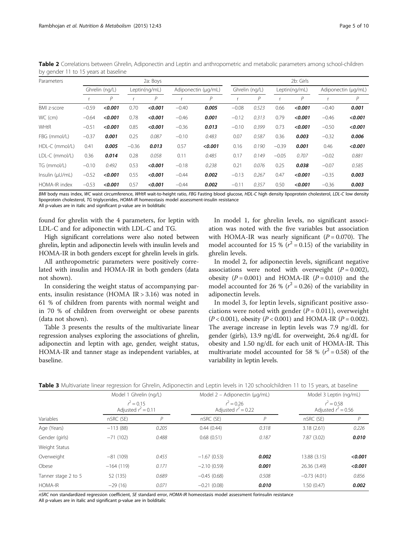| Parameters         | 2a: Boys       |         |               |                |                     | 2b: Girls |                |       |               |         |                     |         |
|--------------------|----------------|---------|---------------|----------------|---------------------|-----------|----------------|-------|---------------|---------|---------------------|---------|
|                    | Ghrelin (ng/L) |         | Leptin(ng/mL) |                | Adiponectin (µg/mL) |           | Ghrelin (ng/L) |       | Leptin(ng/mL) |         | Adiponectin (µg/mL) |         |
|                    |                | Р       |               | $\overline{P}$ |                     | P         |                | Р     |               | P       |                     | P       |
| <b>BMI</b> z-score | $-0.59$        | < 0.001 | 0.70          | < 0.001        | $-0.40$             | 0.005     | $-0.08$        | 0.523 | 0.66          | < 0.001 | $-0.40$             | 0.001   |
| WC (cm)            | $-0.64$        | < 0.001 | 0.78          | < 0.001        | $-0.46$             | 0.001     | $-0.12$        | 0.313 | 0.79          | < 0.001 | $-0.46$             | < 0.001 |
| WHtR               | $-0.51$        | < 0.001 | 0.85          | < 0.001        | $-0.36$             | 0.013     | $-0.10$        | 0.399 | 0.73          | < 0.001 | $-0.50$             | < 0.001 |
| FBG (mmol/L)       | $-0.37$        | 0.001   | 0.25          | 0.087          | $-0.10$             | 0.483     | 0.07           | 0.587 | 0.36          | 0.003   | $-0.32$             | 0.006   |
| HDL-C (mmol/L)     | 0.41           | 0.005   | $-0.36$       | 0.013          | 0.57                | < 0.001   | 0.16           | 0.190 | $-0.39$       | 0.001   | 0.46                | < 0.001 |
| LDL-C (mmol/L)     | 0.36           | 0.014   | 0.28          | 0.058          | 0.11                | 0.485     | 0.17           | 0.149 | $-0.05$       | 0.707   | $-0.02$             | 0.881   |
| TG (mmol/L)        | $-0.10$        | 0.492   | 0.53          | < 0.001        | $-0.18$             | 0.238     | 0.21           | 0.076 | 0.25          | 0.038   | $-0.07$             | 0.585   |
| Insulin (µU/ml)    | $-0.52$        | < 0.001 | 0.55          | < 0.001        | $-0.44$             | 0.002     | $-0.13$        | 0.267 | 0.47          | < 0.001 | $-0.35$             | 0.003   |
| HOMA-IR index      | $-0.53$        | < 0.001 | 0.57          | < 0.001        | $-0.44$             | 0.002     | $-0.11$        | 0.357 | 0.50          | < 0.001 | $-0.36$             | 0.003   |

<span id="page-4-0"></span>Table 2 Correlations between Ghrelin, Adiponectin and Leptin and anthropometric and metabolic parameters among school-children by gender 11 to 15 years at baseline

BMI body mass index, WC waist circumference, WHtR wait-to-height ratio, FBG Fasting blood glucose, HDL-C high density lipoprotein cholesterol, LDL-C low density lipoprotein cholesterol, TG triglycerides, HOMA-IR homeostasis model assessment-insulin resistance

All p-values are in italic and significant p-value are in bolditalic

found for ghrelin with the 4 parameters, for leptin with LDL-C and for adiponectin with LDL-C and TG.

High significant correlations were also noted between ghrelin, leptin and adiponectin levels with insulin levels and HOMA-IR in both genders except for ghrelin levels in girls.

All anthropometric parameters were positively correlated with insulin and HOMA-IR in both genders (data not shown).

In considering the weight status of accompanying parents, insulin resistance (HOMA IR > 3.16) was noted in 61 % of children from parents with normal weight and in 70 % of children from overweight or obese parents (data not shown).

Table 3 presents the results of the multivariate linear regression analyses exploring the associations of ghrelin, adiponectin and leptin with age, gender, weight status, HOMA-IR and tanner stage as independent variables, at baseline.

In model 1, for ghrelin levels, no significant association was noted with the five variables but association with HOMA-IR was nearly significant ( $P = 0.070$ ). The model accounted for 15 % ( $r^2$  = 0.15) of the variability in ghrelin levels.

In model 2, for adiponectin levels, significant negative associations were noted with overweight  $(P = 0.002)$ , obesity  $(P = 0.001)$  and HOMA-IR  $(P = 0.010)$  and the model accounted for 26 % ( $r^2$  = 0.26) of the variability in adiponectin levels.

In model 3, for leptin levels, significant positive associations were noted with gender  $(P = 0.011)$ , overweight  $(P < 0.001)$ , obesity  $(P < 0.001)$  and HOMA-IR  $(P = 0.002)$ . The average increase in leptin levels was 7.9 ng/dL for gender (girls), 13.9 ng/dL for overweight, 26.4 ng/dL for obesity and 1.50 ng/dL for each unit of HOMA-IR. This multivariate model accounted for 58 % ( $r^2 = 0.58$ ) of the variability in leptin levels.

| Variables           | Model 1 Ghrelin (ng/L)                |       | Model 2 - Adiponectin (µg/mL)         | Model 3 Leptin (ng/mL)                |               |         |
|---------------------|---------------------------------------|-------|---------------------------------------|---------------------------------------|---------------|---------|
|                     | $r^2 = 0.15$<br>Adjusted $r^2 = 0.11$ |       | $r^2 = 0.26$<br>Adjusted $r^2$ = 0.22 | $r^2 = 0.58$<br>Adjusted $r^2 = 0.56$ |               |         |
|                     | nSRC (SE)                             | Р     | nSRC (SE)                             | P                                     | nSRC (SE)     | P       |
| Age (Years)         | $-113(88)$                            | 0.205 | 0.44(0.44)                            | 0.318                                 | 3.18(2.61)    | 0.226   |
| Gender (girls)      | $-71(102)$                            | 0.488 | 0.68(0.51)                            | 0.187                                 | 7.87 (3.02)   | 0.010   |
| Weight Status       |                                       |       |                                       |                                       |               |         |
| Overweight          | $-81(109)$                            | 0.455 | $-1.67(0.53)$                         | 0.002                                 | 13.88 (3.15)  | < 0.001 |
| Obese               | $-164(119)$                           | 0.171 | $-2.10(0.59)$                         | 0.001                                 | 26.36 (3.49)  | < 0.001 |
| Tanner stage 2 to 5 | 52 (135)                              | 0.689 | $-0.45(0.68)$                         | 0.508                                 | $-0.73(4.01)$ | 0.856   |
| <b>HOMA-IR</b>      | $-29(16)$                             | 0.071 | $-0.21(0.08)$                         | 0.010                                 | 1.50(0.47)    | 0.002   |

Table 3 Multivariate linear regression for Ghrelin, Adiponectin and Leptin levels in 120 schoolchildren 11 to 15 years, at baseline

nSRC non standardized regression coefficient, SE standard error, HOMA-IR homeostasis model assessment forinsulin resistance

All p-values are in italic and significant p-value are in bolditalic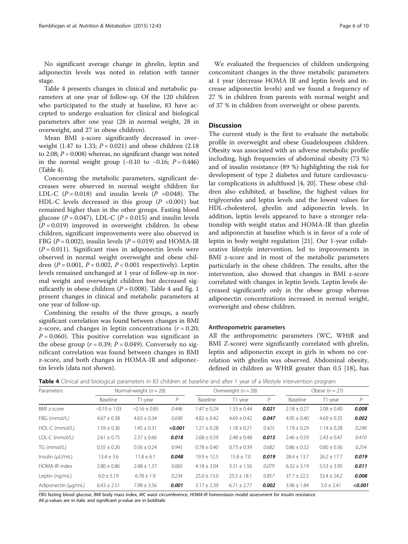No significant average change in ghrelin, leptin and adiponectin levels was noted in relation with tanner stage.

Table 4 presents changes in clinical and metabolic parameters at one year of follow-up. Of the 120 children who participated to the study at baseline, 83 have accepted to undergo evaluation for clinical and biological parameters after one year (28 in normal weight, 28 in overweight, and 27 in obese children).

Mean BMI z-score significantly decreased in overweight (1.47 to 1.33;  $P = 0.021$ ) and obese children (2.18) to 2.08;  $P = 0.008$ ) whereas, no significant change was noted in the normal weight group  $(-0.10 \text{ to } -0.16; P = 0.446)$ (Table 4).

Concerning the metabolic parameters, significant decreases were observed in normal weight children for LDL-C  $(P = 0.018)$  and insulin levels  $(P = 0.048)$ . The HDL-C levels decreased in this group ( $P < 0.001$ ) but remained higher than in the other groups. Fasting blood glucose ( $P = 0.047$ ), LDL-C ( $P = 0.015$ ) and insulin levels  $(P = 0.019)$  improved in overweight children. In obese children, significant improvements were also observed in FBG ( $P = 0.002$ ), insulin levels ( $P = 0.019$ ) and HOMA-IR  $(P = 0.011)$ . Significant rises in adiponectin levels were observed in normal weight overweight and obese children ( $P = 0.001$ ,  $P = 0.002$ ,  $P < 0.001$  respectively). Leptin levels remained unchanged at 1 year of follow-up in normal weight and overweight children but decreased significantly in obese children ( $P = 0.008$ ). Table 4 and fig. [1](#page-1-0) present changes in clinical and metabolic parameters at one year of follow-up.

Combining the results of the three groups, a nearly significant correlation was found between changes in BMI z-score, and changes in leptin concentrations ( $r = 0.20$ ;  $P = 0.060$ ). This positive correlation was significant in the obese group ( $r = 0.39$ ;  $P = 0.049$ ). Conversely no significant correlation was found between changes in BMI z-score, and both changes in HOMA-IR and adiponectin levels (data not shown).

We evaluated the frequencies of children undergoing concomitant changes in the three metabolic parameters at 1 year (decrease HOMA IR and leptin levels and increase adiponectin levels) and we found a frequency of 27 % in children from parents with normal weight and of 37 % in children from overweight or obese parents.

### Discussion

The current study is the first to evaluate the metabolic profile in overweight and obese Guadeloupean children. Obesity was associated with an adverse metabolic profile including, high frequencies of abdominal obesity (73 %) and of insulin resistance (89 %) highlighting the risk for development of type 2 diabetes and future cardiovascular complications in adulthood [[4, 20\]](#page-8-0). These obese children also exhibited, at baseline, the highest values for triglycerides and leptin levels and the lowest values for HDL-cholesterol, ghrelin and adiponectin levels. In addition, leptin levels appeared to have a stronger relationship with weight status and HOMA-IR than ghrelin and adiponectin at baseline which is in favor of a role of leptin in body weight regulation [[21\]](#page-8-0). Our 1-year collaborative lifestyle intervention, led to improvements in BMI z-score and in most of the metabolic parameters particularly in the obese children. The results, after the intervention, also showed that changes in BMI z-score correlated with changes in leptin levels. Leptin levels decreased significantly only in the obese group whereas adiponectin concentrations increased in normal weight, overweight and obese children.

#### Anthropometric parameters

All the anthropometric parameters (WC, WHtR and BMI Z-score) were significantly correlated with ghrelin, leptin and adiponectin except in girls in whom no correlation with ghrelin was observed. Abdominal obesity, defined in children as WHtR greater than 0.5 [[18\]](#page-8-0), has

Table 4 Clinical and biological parameters in 83 children at baseline and after 1 year of a lifestyle intervention program

| Parameters          | Normal-weight $(n = 28)$ |                  |         |                 | Overweight $(n = 28)$ |       |                 | Obese $(n = 27)$ |         |  |
|---------------------|--------------------------|------------------|---------|-----------------|-----------------------|-------|-----------------|------------------|---------|--|
|                     | Baseline                 | T1-year          | P       | <b>Baseline</b> | T1-year               | P     | Baseline        | T1-year          | P       |  |
| BMI z-score         | $-0.10 \pm 1.03$         | $-0.16 \pm 0.85$ | 0.446   | $1.47 \pm 0.24$ | $1.33 \pm 0.44$       | 0.021 | $2.18 \pm 0.27$ | $2.08 \pm 0.40$  | 0.008   |  |
| FBG (mmol/L)        | $4.67 \pm 0.38$          | $4.63 \pm 0.34$  | 0.690   | $4.82 \pm 0.42$ | $4.69 \pm 0.42$       | 0.047 | $4.95 \pm 0.40$ | $4.69 \pm 0.35$  | 0.002   |  |
| HDL-C (mmol/L)      | $1.59 \pm 0.36$          | $1.45 \pm 0.31$  | < 0.001 | $1.21 \pm 0.28$ | $1.18 \pm 0.21$       | 0.425 | $1.19 \pm 0.29$ | $1.14 \pm 0.28$  | 0.248   |  |
| LDL-C (mmol/L)      | $2.61 \pm 0.75$          | $2.37 \pm 0.66$  | 0.018   | $2.68 \pm 0.59$ | $2.48 \pm 0.48$       | 0.015 | $2.46 \pm 0.59$ | $2.43 \pm 0.47$  | 0.410   |  |
| TG (mmol/L)         | $0.55 \pm 0.26$          | $0.56 \pm 0.24$  | 0.945   | $0.78 \pm 0.40$ | $0.73 \pm 0.39$       | 0.682 | $0.86 \pm 0.32$ | $0.80 \pm 0.36$  | 0.254   |  |
| Insulin (µU/mL)     | $13.4 \pm 3.6$           | $11.8 \pm 6.1$   | 0.048   | $19.9 \pm 12.5$ | $15.8 \pm 7.0$        | 0.019 | $28.4 \pm 13.7$ | $26.2 \pm 17.7$  | 0.019   |  |
| HOMA-IR index       | $2.80 \pm 0.86$          | $2.48 \pm 1.37$  | 0.065   | $4.18 \pm 3.04$ | $3.31 \pm 1.56$       | 0.079 | $6.32 \pm 3.19$ | $5.53 \pm 3.95$  | 0.011   |  |
| Leptin (ng/mL)      | $6.0 \pm 5.19$           | $6.78 \pm 1.9$   | 0.234   | $25.0 \pm 13.0$ | $25.5 + 18.1$         | 0.857 | $37.7 \pm 22.5$ | $33.4 \pm 24.2$  | 0.008   |  |
| Adiponectin (µg/mL) | $6.43 \pm 2.51$          | $7.98 \pm 3.56$  | 0.001   | $5.17 \pm 2.39$ | $6.71 \pm 2.77$       | 0.002 | $3.96 \pm 1.84$ | $5.0 \pm 2.41$   | < 0.001 |  |

FBG fasting blood glucose, BMI body mass index, WC waist circumference, HOMA-IR homeostasis model assessment for insulin resistance All p-values are in italic and significant p-value are in bolditalic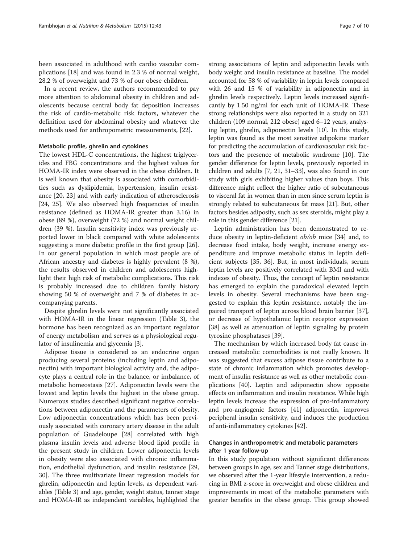been associated in adulthood with cardio vascular complications [\[18\]](#page-8-0) and was found in 2.3 % of normal weight, 28.2 % of overweight and 73 % of our obese children.

In a recent review, the authors recommended to pay more attention to abdominal obesity in children and adolescents because central body fat deposition increases the risk of cardio-metabolic risk factors, whatever the definition used for abdominal obesity and whatever the methods used for anthropometric measurements, [[22](#page-8-0)].

#### Metabolic profile, ghrelin and cytokines

The lowest HDL-C concentrations, the highest triglycerides and FBG concentrations and the highest values for HOMA-IR index were observed in the obese children. It is well known that obesity is associated with comorbidities such as dyslipidemia, hypertension, insulin resistance [[20, 23\]](#page-8-0) and with early indication of atherosclerosis [[24, 25](#page-8-0)]. We also observed high frequencies of insulin resistance (defined as HOMA-IR greater than 3.16) in obese (89 %), overweight (72 %) and normal weight children (39 %). Insulin sensitivity index was previously reported lower in black compared with white adolescents suggesting a more diabetic profile in the first group [\[26](#page-8-0)]. In our general population in which most people are of African ancestry and diabetes is highly prevalent (8 %), the results observed in children and adolescents highlight their high risk of metabolic complications. This risk is probably increased due to children family history showing 50 % of overweight and 7 % of diabetes in accompanying parents.

Despite ghrelin levels were not significantly associated with HOMA-IR in the linear regression (Table [3\)](#page-4-0), the hormone has been recognized as an important regulator of energy metabolism and serves as a physiological regulator of insulinemia and glycemia [\[3](#page-8-0)].

Adipose tissue is considered as an endocrine organ producing several proteins (including leptin and adiponectin) with important biological activity and, the adipocyte plays a central role in the balance, or imbalance, of metabolic homeostasis [\[27](#page-8-0)]. Adiponectin levels were the lowest and leptin levels the highest in the obese group. Numerous studies described significant negative correlations between adiponectin and the parameters of obesity. Low adiponectin concentrations which has been previously associated with coronary artery disease in the adult population of Guadeloupe [[28\]](#page-8-0) correlated with high plasma insulin levels and adverse blood lipid profile in the present study in children. Lower adiponectin levels in obesity were also associated with chronic inflammation, endothelial dysfunction, and insulin resistance [[29](#page-8-0), [30\]](#page-8-0). The three multivariate linear regression models for ghrelin, adiponectin and leptin levels, as dependent variables (Table [3\)](#page-4-0) and age, gender, weight status, tanner stage and HOMA-IR as independent variables, highlighted the

strong associations of leptin and adiponectin levels with body weight and insulin resistance at baseline. The model accounted for 58 % of variability in leptin levels compared with 26 and 15 % of variability in adiponectin and in ghrelin levels respectively. Leptin levels increased significantly by 1.50 ng/ml for each unit of HOMA-IR. These strong relationships were also reported in a study on 321 children (109 normal, 212 obese) aged 6–12 years, analysing leptin, ghrelin, adiponectin levels [[10](#page-8-0)]. In this study, leptin was found as the most sensitive adipokine marker for predicting the accumulation of cardiovascular risk factors and the presence of metabolic syndrome [\[10\]](#page-8-0). The gender difference for leptin levels, previously reported in children and adults [[7, 21, 31](#page-8-0)–[33](#page-8-0)], was also found in our study with girls exhibiting higher values than boys. This difference might reflect the higher ratio of subcutaneous to visceral fat in women than in men since serum leptin is strongly related to subcutaneous fat mass [[21](#page-8-0)]. But, other factors besides adiposity, such as sex steroids, might play a role in this gender difference [\[21\]](#page-8-0).

Leptin administration has been demonstrated to reduce obesity in leptin-deficient ob/ob mice [\[34\]](#page-9-0) and, to decrease food intake, body weight, increase energy expenditure and improve metabolic status in leptin deficient subjects [\[35, 36](#page-9-0)]. But, in most individuals, serum leptin levels are positively correlated with BMI and with indexes of obesity. Thus, the concept of leptin resistance has emerged to explain the paradoxical elevated leptin levels in obesity. Several mechanisms have been suggested to explain this leptin resistance, notably the impaired transport of leptin across blood brain barrier [\[37](#page-9-0)], or decrease of hypothalamic leptin receptor expression [[38\]](#page-9-0) as well as attenuation of leptin signaling by protein tyrosine phosphatases [\[39](#page-9-0)].

The mechanism by which increased body fat cause increased metabolic comorbidities is not really known. It was suggested that excess adipose tissue contribute to a state of chronic inflammation which promotes development of insulin resistance as well as other metabolic complications [\[40\]](#page-9-0). Leptin and adiponectin show opposite effects on inflammation and insulin resistance. While high leptin levels increase the expression of pro-inflammatory and pro-angiogenic factors [[41](#page-9-0)] adiponectin, improves peripheral insulin sensitivity, and induces the production of anti-inflammatory cytokines [\[42\]](#page-9-0).

# Changes in anthropometric and metabolic parameters after 1 year follow-up

In this study population without significant differences between groups in age, sex and Tanner stage distributions, we observed after the 1-year lifestyle intervention, a reducing in BMI z-score in overweight and obese children and improvements in most of the metabolic parameters with greater benefits in the obese group. This group showed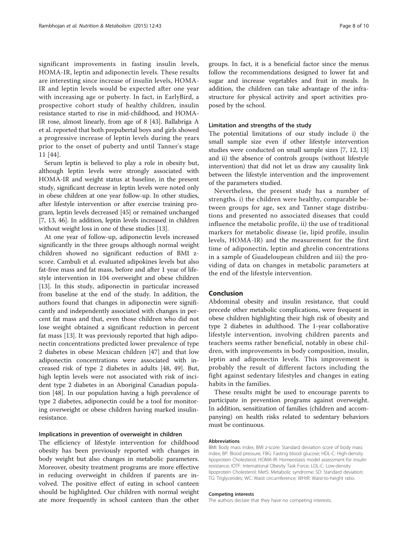significant improvements in fasting insulin levels, HOMA-IR, leptin and adiponectin levels. These results are interesting since increase of insulin levels, HOMA-IR and leptin levels would be expected after one year with increasing age or puberty. In fact, in EarlyBird, a prospective cohort study of healthy children, insulin resistance started to rise in mid-childhood, and HOMA-IR rose, almost linearly, from age of 8 [[43](#page-9-0)]. Ballabriga A et al. reported that both prepubertal boys and girls showed a progressive increase of leptin levels during the years prior to the onset of puberty and until Tanner's stage 11 [[44](#page-9-0)].

Serum leptin is believed to play a role in obesity but, although leptin levels were strongly associated with HOMA-IR and weight status at baseline, in the present study, significant decrease in leptin levels were noted only in obese children at one year follow-up. In other studies, after lifestyle intervention or after exercise training program, leptin levels decreased [[45](#page-9-0)] or remained unchanged [[7, 13,](#page-8-0) [46\]](#page-9-0). In addition, leptin levels increased in children without weight loss in one of these studies [[13](#page-8-0)].

At one year of follow-up, adiponectin levels increased significantly in the three groups although normal weight children showed no significant reduction of BMI zscore. Cambuli et al. evaluated adipokines levels but also fat-free mass and fat mass, before and after 1 year of lifestyle intervention in 104 overweight and obese children [[13\]](#page-8-0). In this study, adiponectin in particular increased from baseline at the end of the study. In addition, the authors found that changes in adiponectin were significantly and independently associated with changes in percent fat mass and that, even those children who did not lose weight obtained a significant reduction in percent fat mass [\[13](#page-8-0)]. It was previously reported that high adiponectin concentrations predicted lower prevalence of type 2 diabetes in obese Mexican children [\[47](#page-9-0)] and that low adiponectin concentrations were associated with increased risk of type 2 diabetes in adults [[48](#page-9-0), [49](#page-9-0)]. But, high leptin levels were not associated with risk of incident type 2 diabetes in an Aboriginal Canadian population [[48](#page-9-0)]. In our population having a high prevalence of type 2 diabetes, adiponectin could be a tool for monitoring overweight or obese children having marked insulinresistance.

#### Implications in prevention of overweight in children

The efficiency of lifestyle intervention for childhood obesity has been previously reported with changes in body weight but also changes in metabolic parameters. Moreover, obesity treatment programs are more effective in reducing overweight in children if parents are involved. The positive effect of eating in school canteen should be highlighted. Our children with normal weight ate more frequently in school canteen than the other groups. In fact, it is a beneficial factor since the menus follow the recommendations designed to lower fat and sugar and increase vegetables and fruit in meals. In addition, the children can take advantage of the infrastructure for physical activity and sport activities proposed by the school.

#### Limitation and strengths of the study

The potential limitations of our study include i) the small sample size even if other lifestyle intervention studies were conducted on small sample sizes [\[7](#page-8-0), [12](#page-8-0), [13](#page-8-0)] and ii) the absence of controls groups (without lifestyle intervention) that did not let us draw any causality link between the lifestyle intervention and the improvement of the parameters studied.

Nevertheless, the present study has a number of strengths. i) the children were healthy, comparable between groups for age, sex and Tanner stage distributions and presented no associated diseases that could influence the metabolic profile, ii) the use of traditional markers for metabolic disease (ie, lipid profile, insulin levels, HOMA-IR) and the measurement for the first time of adiponectin, leptin and ghrelin concentrations in a sample of Guadeloupean children and iii) the providing of data on changes in metabolic parameters at the end of the lifestyle intervention.

#### Conclusion

Abdominal obesity and insulin resistance, that could precede other metabolic complications, were frequent in obese children highlighting their high risk of obesity and type 2 diabetes in adulthood. The 1-year collaborative lifestyle intervention, involving children parents and teachers seems rather beneficial, notably in obese children, with improvements in body composition, insulin, leptin and adiponectin levels. This improvement is probably the result of different factors including the fight against sedentary lifestyles and changes in eating habits in the families.

These results might be used to encourage parents to participate in prevention programs against overweight. In addition, sensitization of families (children and accompanying) on health risks related to sedentary behaviors must be continuous.

#### Abbreviations

BMI: Body mass index; BMI z-score: Standard deviation score of body mass index; BP: Blood pressure; FBG: Fasting blood glucose; HDL-C: High-density lipoprotein Cholesterol; HOMA-IR: Homeostasis model assessment for insulin resistance; IOTF: International Obesity Task Force; LDL-C: Low-density lipoprotein Cholesterol; MetS: Metabolic syndrome; SD: Standard deviation; TG: Triglycerides; WC: Waist circumference; WHtR: Waist-to-height ratio.

#### Competing interests

The authors declare that they have no competing interests.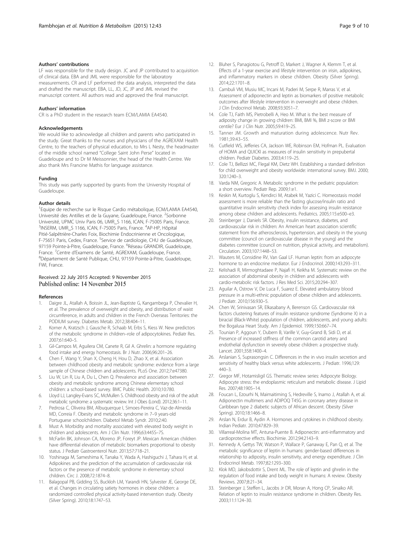#### <span id="page-8-0"></span>Authors' contributions

LF was responsible for the study design. JC and JP contributed to acquisition of clinical data. EBA and JML were responsible for the laboratory measurements. CR and LF performed the data analysis, interpreted the data and drafted the manuscript. EBA, LL, JD, JC, JP and JML revised the manuscript content. All authors read and approved the final manuscript.

#### Authors' information

CR is a PhD student in the research team ECM/LAMIA EA4540.

#### Acknowledgements

We would like to acknowledge all children and parents who participated in the study. Great thanks to the nurses and physicians of the AGREXAM Health Centre, to the teachers of physical education, to Mrs L Nesty, the headmaster of the middle school named "College Saint John Perse" located in Guadeloupe and to Dr M Meissonnier, the head of the Health Centre. We also thank Mrs Francine Mathis for language assistance.

#### Funding

This study was partly supported by grants from the University Hospital of Guadeloupe.

#### Author details

<sup>1</sup> Equipe de recherche sur le Risque Cardio métabolique, ECM/LAMIA EA4540, Université des Antilles et de la Guyane, Guadeloupe, France. <sup>2</sup>Sorbonne Université, UPMC Univ Paris 06, UMR\_S 1166, ICAN, F-75005 Paris, France. <sup>3</sup>INSERM, UMR\_S 1166, ICAN, F-75005 Paris, France. <sup>4</sup>AP-HP, Hôpital Pitié-Salpêtrière-Charles Foix, Biochimie Endocrinienne et Oncologique, F-75651 Paris, Cedex, France. <sup>5</sup>Service de cardiologie, CHU de Guadeloupe, 97159 Pointe-à-Pitre, Guadeloupe, France. <sup>6</sup>Réseau GRANDIR, Guadeloupe, France. <sup>7</sup>Centre d'Examens de Santé, AGREXAM, Guadeloupe, France.<br><sup>8</sup>Dénartement de Santé Publique. CHU 97159 Pointe-à-Pitre. Guadel Département de Santé Publique, CHU, 97159 Pointe-à-Pitre, Guadeloupe, FWI, France.

#### Received: 22 July 2015 Accepted: 9 November 2015 Published online: 14 November 2015

#### References

- Daigre JL, Atallah A, Boissin JL, Jean-Baptiste G, Kangambega P, Chevalier H, et al. The prevalence of overweight and obesity, and distribution of waist circumference, in adults and children in the French Overseas Territories: the PODIUM survey. Diabetes Metab. 2012;38:404–11.
- 2. Korner A, Kratzsch J, Gausche R, Schaab M, Erbs S, Kiess W. New predictors of the metabolic syndrome in children–role of adipocytokines. Pediatr Res. 2007;61:640–5.
- 3. Gil-Campos M, Aguilera CM, Canete R, Gil A. Ghrelin: a hormone regulating food intake and energy homeostasis. Br J Nutr. 2006;96:201–26.
- 4. Chen F, Wang Y, Shan X, Cheng H, Hou D, Zhao X, et al. Association between childhood obesity and metabolic syndrome: evidence from a large sample of Chinese children and adolescents. PLoS One. 2012;7:e47380.
- 5. Liu W, Lin R, Liu A, Du L, Chen Q. Prevalence and association between obesity and metabolic syndrome among Chinese elementary school children: a school-based survey. BMC Public Health. 2010;10:780.
- 6. Lloyd LJ, Langley-Evans SC, McMullen S. Childhood obesity and risk of the adult metabolic syndrome: a systematic review. Int J Obes (Lond). 2012;36:1–11.
- 7. Pedrosa C, Oliveira BM, Albuquerque I, Simoes-Pereira C, Vaz-de-Almeida MD, Correia F. Obesity and metabolic syndrome in 7–9 years-old Portuguese schoolchildren. Diabetol Metab Syndr. 2010;2:40.
- 8. Must A. Morbidity and mortality associated with elevated body weight in children and adolescents. Am J Clin Nutr. 1996;63:445S–7S.
- 9. McFarlin BK, Johnson CA, Moreno JP, Foreyt JP. Mexican American children have differential elevation of metabolic biomarkers proportional to obesity status. J Pediatr Gastroenterol Nutr. 2013;57:718–21.
- 10. Yoshinaga M, Sameshima K, Tanaka Y, Wada A, Hashiguchi J, Tahara H, et al. Adipokines and the prediction of the accumulation of cardiovascular risk factors or the presence of metabolic syndrome in elementary school children. Circ J. 2008;72:1874–8.
- 11. Balagopal PB, Gidding SS, Buckloh LM, Yarandi HN, Sylvester JE, George DE, et al. Changes in circulating satiety hormones in obese children: a randomized controlled physical activity-based intervention study. Obesity (Silver Spring). 2010;18:1747–53.
- 12. Bluher S, Panagiotou G, Petroff D, Markert J, Wagner A, Klemm T, et al. Effects of a 1-year exercise and lifestyle intervention on irisin, adipokines, and inflammatory markers in obese children. Obesity (Silver Spring). 2014;22:1701–8.
- 13. Cambuli VM, Musiu MC, Incani M, Paderi M, Serpe R, Marras V, et al. Assessment of adiponectin and leptin as biomarkers of positive metabolic outcomes after lifestyle intervention in overweight and obese children. J Clin Endocrinol Metab. 2008;93:3051–7.
- 14. Cole TJ, Faith MS, Pietrobelli A, Heo M. What is the best measure of adiposity change in growing children: BMI, BMI %, BMI z-score or BMI centile? Eur J Clin Nutr. 2005;59:419–25.
- 15. Tanner JM. Growth and maturation during adolescence. Nutr Rev. 1981;39:43–55.
- 16. Cutfield WS, Jefferies CA, Jackson WE, Robinson EM, Hofman PL. Evaluation of HOMA and QUICKI as measures of insulin sensitivity in prepubertal children. Pediatr Diabetes. 2003;4:119–25.
- 17. Cole TJ, Bellizzi MC, Flegal KM, Dietz WH. Establishing a standard definition for child overweight and obesity worldwide: international survey. BMJ. 2000; 320:1240–3.
- 18. Varda NM, Gregoric A. Metabolic syndrome in the pediatric population: a short overview. Pediatr Rep. 2009;1:e1.
- 19. Keskin M, Kurtoglu S, Kendirci M, Atabek M, Yazici C. Homeostasis model assessment is more reliable than the fasting glucose/insulin ratio and quantitative insulin sensitivity check index for assessing insulin resistance among obese children and adolescents. Pediatrics. 2005;115:e500–e3.
- 20. Steinberger J, Daniels SR. Obesity, insulin resistance, diabetes, and cardiovascular risk in children: An American heart association scientific statement from the atherosclerosis, hypertension, and obesity in the young committee (council on cardiovascular disease in the young) and the diabetes committee (council on nutrition, physical activity, and metabolism). Circulation. 2003;107:1448–53.
- 21. Wauters M, Considine RV, Van Gaal LF. Human leptin: from an adipocyte hormone to an endocrine mediator. Eur J Endocrinol. 2000;143:293–311.
- 22. Kelishadi R, Mirmoghtadaee P, Najafi H, Keikha M. Systematic review on the association of abdominal obesity in children and adolescents with cardio-metabolic risk factors. J Res Med Sci. 2015;20:294–307.
- 23. Aguilar A, Ostrow V, De Luca F, Suarez E. Elevated ambulatory blood pressure in a multi-ethnic population of obese children and adolescents. J Pediatr. 2010;156:930–5.
- 24. Chen W, Srinivasan SR, Elkasabany A, Berenson GS. Cardiovascular risk factors clustering features of insulin resistance syndrome (Syndrome X) in a biracial (Black-White) population of children, adolescents, and young adults: the Bogalusa Heart Study. Am J Epidemiol. 1999;150:667–74.
- 25. Tounian P, Aggoun Y, Dubern B, Varille V, Guy-Grand B, Sidi D, et al. Presence of increased stiffness of the common carotid artery and endothelial dysfunction in severely obese children: a prospective study. Lancet. 2001;358:1400–4.
- 26. Arslanian S, Suprasongsin C. Differences in the in vivo insulin secretion and sensitivity of healthy black versus white adolescents. J Pediatr. 1996;129: 440–3.
- 27. Gregor MF, Hotamisligil GS. Thematic review series: Adipocyte Biology. Adipocyte stress: the endoplasmic reticulum and metabolic disease. J Lipid Res. 2007;48:1905–14.
- 28. Foucan L, Ezourhi N, Maimaitiming S, Hedreville S, Inamo J, Atallah A, et al. Adiponectin multimers and ADIPOQ T45G in coronary artery disease in Caribbean type 2 diabetic subjects of African descent. Obesity (Silver Spring). 2010;18:1466–8.
- 29. Arslan N, Erdur B, Aydin A. Hormones and cytokines in childhood obesity. Indian Pediatr. 2010;47:829–39.
- 30. Villarreal-Molina MT, Antuna-Puente B. Adiponectin: anti-inflammatory and cardioprotective effects. Biochimie. 2012;94:2143–9.
- 31. Kennedy A, Gettys TW, Watson P, Wallace P, Ganaway E, Pan Q, et al. The metabolic significance of leptin in humans: gender-based differences in relationship to adiposity, insulin sensitivity, and energy expenditure. J Clin Endocrinol Metab. 1997;82:1293–300.
- 32. Klok MD, Jakobsdottir S, Drent ML. The role of leptin and ghrelin in the regulation of food intake and body weight in humans: A review. Obesity Reviews. 2007;8:21–34.
- 33. Steinberger J, Steffen L, Jacobs Jr DR, Moran A, Hong CP, Sinaiko AR. Relation of leptin to insulin resistance syndrome in children. Obesity Res. 2003;11:1124–30.